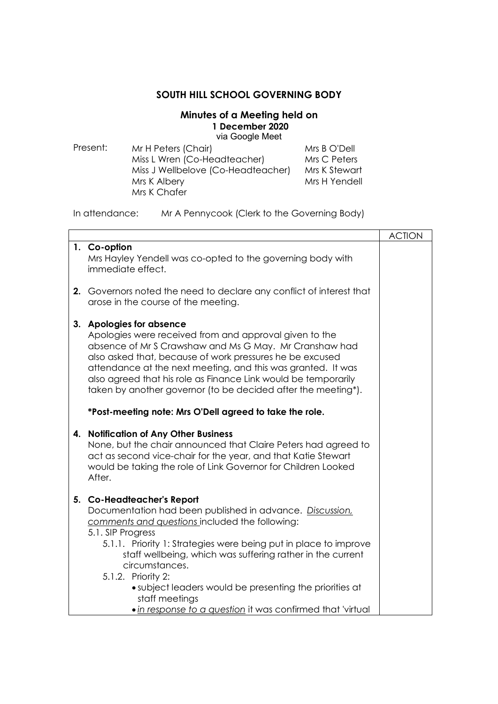## **SOUTH HILL SCHOOL GOVERNING BODY**

## **Minutes of a Meeting held on 1 December 2020**  via Google Meet

| Present: | Mr H Peters (Chair)                | Mrs B O'Dell  |
|----------|------------------------------------|---------------|
|          | Miss L Wren (Co-Headteacher)       | Mrs C Peters  |
|          | Miss J Wellbelove (Co-Headteacher) | Mrs K Stewart |
|          | Mrs K Albery                       | Mrs H Yendell |
|          | Mrs K Chafer                       |               |

In attendance: Mr A Pennycook (Clerk to the Governing Body)

|    |                                                                                                                                                                                                                                                                                                                                                                                                                                                                                    | <b>ACTION</b> |
|----|------------------------------------------------------------------------------------------------------------------------------------------------------------------------------------------------------------------------------------------------------------------------------------------------------------------------------------------------------------------------------------------------------------------------------------------------------------------------------------|---------------|
|    | 1. Co-option<br>Mrs Hayley Yendell was co-opted to the governing body with<br>immediate effect.                                                                                                                                                                                                                                                                                                                                                                                    |               |
|    | 2. Governors noted the need to declare any conflict of interest that<br>arose in the course of the meeting.                                                                                                                                                                                                                                                                                                                                                                        |               |
|    | 3. Apologies for absence<br>Apologies were received from and approval given to the<br>absence of Mr S Crawshaw and Ms G May. Mr Cranshaw had<br>also asked that, because of work pressures he be excused<br>attendance at the next meeting, and this was granted. It was<br>also agreed that his role as Finance Link would be temporarily<br>taken by another governor (to be decided after the meeting*).                                                                        |               |
|    | *Post-meeting note: Mrs O'Dell agreed to take the role.                                                                                                                                                                                                                                                                                                                                                                                                                            |               |
| 4. | <b>Notification of Any Other Business</b><br>None, but the chair announced that Claire Peters had agreed to<br>act as second vice-chair for the year, and that Katie Stewart<br>would be taking the role of Link Governor for Children Looked<br>After.                                                                                                                                                                                                                            |               |
|    | 5. Co-Headteacher's Report<br>Documentation had been published in advance. Discussion,<br>comments and questions included the following:<br>5.1. SIP Progress<br>5.1.1. Priority 1: Strategies were being put in place to improve<br>staff wellbeing, which was suffering rather in the current<br>circumstances.<br>5.1.2. Priority 2:<br>• subject leaders would be presenting the priorities at<br>staff meetings<br>. in response to a question it was confirmed that 'virtual |               |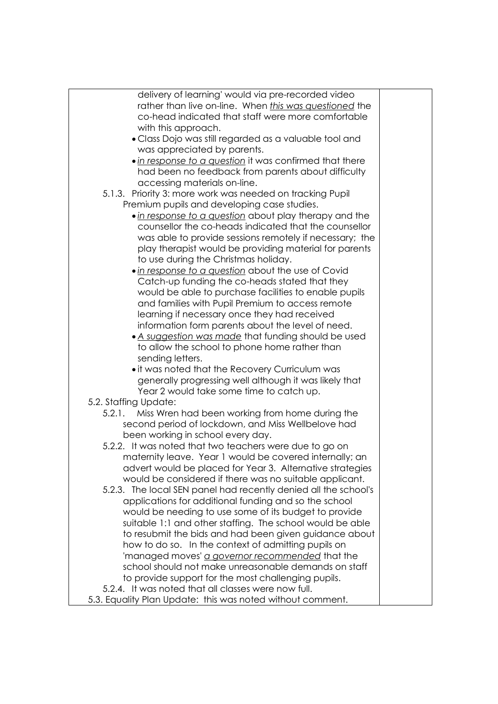| delivery of learning' would via pre-recorded video                                                      |  |
|---------------------------------------------------------------------------------------------------------|--|
| rather than live on-line. When this was questioned the                                                  |  |
| co-head indicated that staff were more comfortable                                                      |  |
| with this approach.                                                                                     |  |
| • Class Dojo was still regarded as a valuable tool and                                                  |  |
| was appreciated by parents.                                                                             |  |
| • in response to a question it was confirmed that there                                                 |  |
| had been no feedback from parents about difficulty                                                      |  |
| accessing materials on-line.                                                                            |  |
| 5.1.3. Priority 3: more work was needed on tracking Pupil                                               |  |
| Premium pupils and developing case studies.                                                             |  |
| . in response to a question about play therapy and the                                                  |  |
| counsellor the co-heads indicated that the counsellor                                                   |  |
|                                                                                                         |  |
| was able to provide sessions remotely if necessary; the                                                 |  |
| play therapist would be providing material for parents                                                  |  |
| to use during the Christmas holiday.                                                                    |  |
| . in response to a question about the use of Covid                                                      |  |
| Catch-up funding the co-heads stated that they                                                          |  |
| would be able to purchase facilities to enable pupils                                                   |  |
| and families with Pupil Premium to access remote                                                        |  |
| learning if necessary once they had received                                                            |  |
| information form parents about the level of need.                                                       |  |
| • A suggestion was made that funding should be used                                                     |  |
| to allow the school to phone home rather than                                                           |  |
| sending letters.                                                                                        |  |
| • it was noted that the Recovery Curriculum was                                                         |  |
| generally progressing well although it was likely that                                                  |  |
| Year 2 would take some time to catch up.                                                                |  |
| 5.2. Staffing Update:                                                                                   |  |
| Miss Wren had been working from home during the<br>5.2.1.                                               |  |
| second period of lockdown, and Miss Wellbelove had                                                      |  |
| been working in school every day.                                                                       |  |
| 5.2.2. It was noted that two teachers were due to go on                                                 |  |
| maternity leave. Year 1 would be covered internally; an                                                 |  |
| advert would be placed for Year 3. Alternative strategies                                               |  |
| would be considered if there was no suitable applicant.                                                 |  |
| 5.2.3. The local SEN panel had recently denied all the school's                                         |  |
| applications for additional funding and so the school                                                   |  |
| would be needing to use some of its budget to provide                                                   |  |
| suitable 1:1 and other staffing. The school would be able                                               |  |
| to resubmit the bids and had been given guidance about                                                  |  |
| how to do so. In the context of admitting pupils on                                                     |  |
|                                                                                                         |  |
| 'managed moves' a governor recommended that the<br>school should not make unreasonable demands on staff |  |
|                                                                                                         |  |
| to provide support for the most challenging pupils.                                                     |  |
| 5.2.4. It was noted that all classes were now full.                                                     |  |
| 5.3. Equality Plan Update: this was noted without comment.                                              |  |